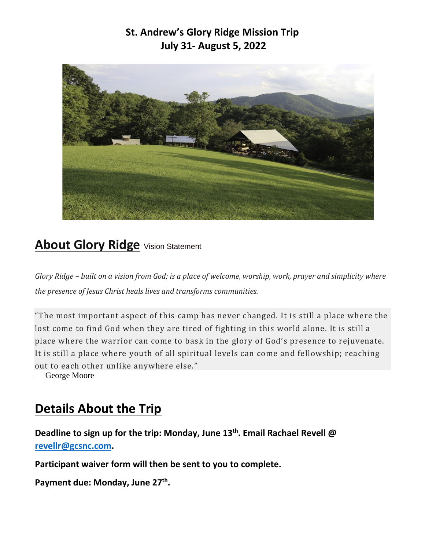# **St. Andrew's Glory Ridge Mission Trip July 31- August 5, 2022**



# **About Glory Ridge** Vision Statement

*Glory Ridge – built on a vision from God; is a place of welcome, worship, work, prayer and simplicity where the presence of Jesus Christ heals lives and transforms communities.*

"The most important aspect of this camp has never changed. It is still a place where the lost come to find God when they are tired of fighting in this world alone. It is still a place where the warrior can come to bask in the glory of God's presence to rejuvenate. It is still a place where youth of all spiritual levels can come and fellowship; reaching out to each other unlike anywhere else." — George Moore

# **Details About the Trip**

**Deadline to sign up for the trip: Monday, June 13th . Email Rachael Revell @ [revellr@gcsnc.com.](mailto:revellr@gcsnc.com)**

**Participant waiver form will then be sent to you to complete.**

**Payment due: Monday, June 27th .**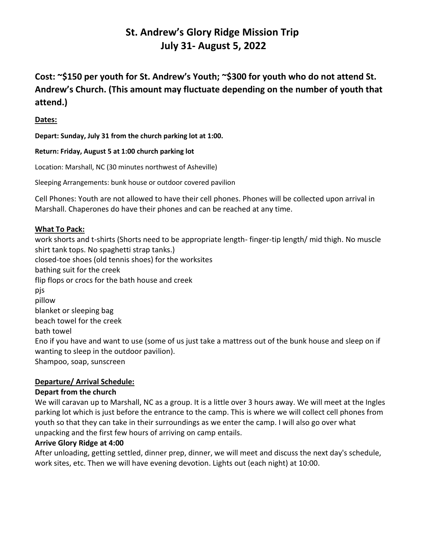## **St. Andrew's Glory Ridge Mission Trip July 31- August 5, 2022**

**Cost: ~\$150 per youth for St. Andrew's Youth; ~\$300 for youth who do not attend St. Andrew's Church. (This amount may fluctuate depending on the number of youth that attend.)**

## **Dates:**

**Depart: Sunday, July 31 from the church parking lot at 1:00.**

**Return: Friday, August 5 at 1:00 church parking lot**

Location: Marshall, NC (30 minutes northwest of Asheville)

Sleeping Arrangements: bunk house or outdoor covered pavilion

Cell Phones: Youth are not allowed to have their cell phones. Phones will be collected upon arrival in Marshall. Chaperones do have their phones and can be reached at any time.

#### **What To Pack:**

work shorts and t-shirts (Shorts need to be appropriate length- finger-tip length/ mid thigh. No muscle shirt tank tops. No spaghetti strap tanks.) closed-toe shoes (old tennis shoes) for the worksites bathing suit for the creek flip flops or crocs for the bath house and creek pjs pillow blanket or sleeping bag beach towel for the creek bath towel Eno if you have and want to use (some of us just take a mattress out of the bunk house and sleep on if wanting to sleep in the outdoor pavilion). Shampoo, soap, sunscreen

## **Departure/ Arrival Schedule:**

#### **Depart from the church**

We will caravan up to Marshall, NC as a group. It is a little over 3 hours away. We will meet at the Ingles parking lot which is just before the entrance to the camp. This is where we will collect cell phones from youth so that they can take in their surroundings as we enter the camp. I will also go over what unpacking and the first few hours of arriving on camp entails.

#### **Arrive Glory Ridge at 4:00**

After unloading, getting settled, dinner prep, dinner, we will meet and discuss the next day's schedule, work sites, etc. Then we will have evening devotion. Lights out (each night) at 10:00.